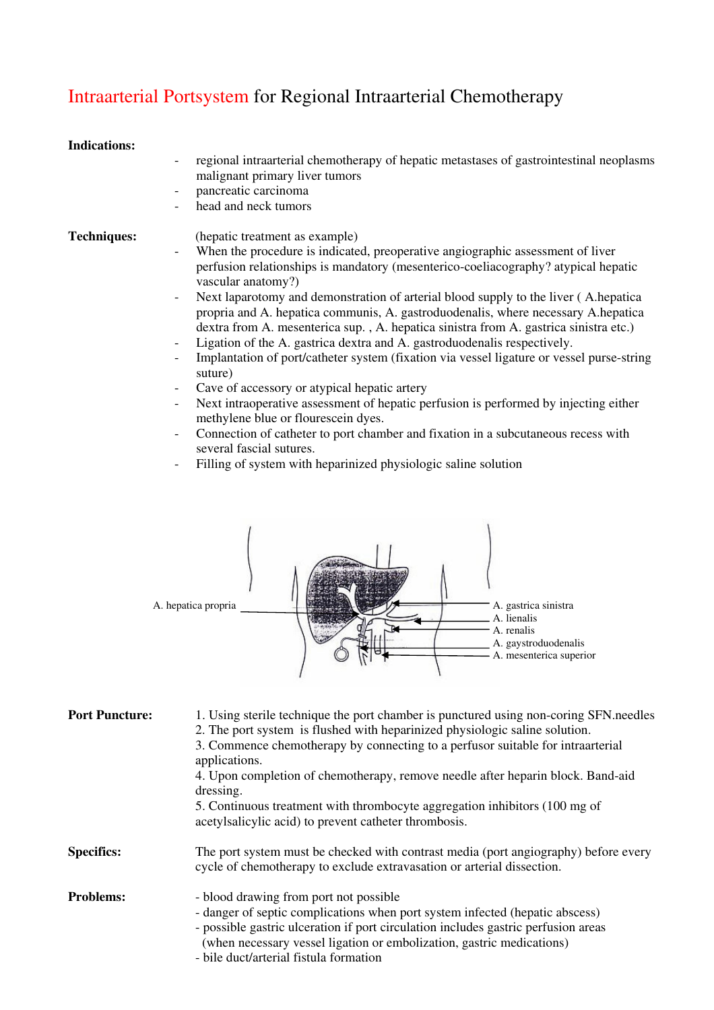## Intraarterial Portsystem for Regional Intraarterial Chemotherapy

## **Indications:**

- regional intraarterial chemotherapy of hepatic metastases of gastrointestinal neoplasms malignant primary liver tumors
- pancreatic carcinoma
- head and neck tumors

- **Techniques:** (hepatic treatment as example)
	- When the procedure is indicated, preoperative angiographic assessment of liver perfusion relationships is mandatory (mesenterico-coeliacography? atypical hepatic vascular anatomy?)
	- Next laparotomy and demonstration of arterial blood supply to the liver (A.hepatica propria and A. hepatica communis, A. gastroduodenalis, where necessary A.hepatica dextra from A. mesenterica sup. , A. hepatica sinistra from A. gastrica sinistra etc.)
	- Ligation of the A. gastrica dextra and A. gastroduodenalis respectively.
	- Implantation of port/catheter system (fixation via vessel ligature or vessel purse-string suture)
	- Cave of accessory or atypical hepatic artery
	- Next intraoperative assessment of hepatic perfusion is performed by injecting either methylene blue or flourescein dyes.
	- Connection of catheter to port chamber and fixation in a subcutaneous recess with several fascial sutures.
	- Filling of system with heparinized physiologic saline solution



| <b>Port Puncture:</b> | 1. Using sterile technique the port chamber is punctured using non-coring SFN needles<br>2. The port system is flushed with heparinized physiologic saline solution.<br>3. Commence chemotherapy by connecting to a perfusor suitable for intraarterial<br>applications.<br>4. Upon completion of chemotherapy, remove needle after heparin block. Band-aid |
|-----------------------|-------------------------------------------------------------------------------------------------------------------------------------------------------------------------------------------------------------------------------------------------------------------------------------------------------------------------------------------------------------|
|                       | dressing.<br>5. Continuous treatment with thrombocyte aggregation inhibitors (100 mg of<br>acetylsalicylic acid) to prevent catheter thrombosis.                                                                                                                                                                                                            |
| <b>Specifics:</b>     | The port system must be checked with contrast media (port angiography) before every<br>cycle of chemotherapy to exclude extravasation or arterial dissection.                                                                                                                                                                                               |
| <b>Problems:</b>      | - blood drawing from port not possible<br>- danger of septic complications when port system infected (hepatic abscess)<br>- possible gastric ulceration if port circulation includes gastric perfusion areas<br>(when necessary vessel ligation or embolization, gastric medications)<br>- bile duct/arterial fistula formation                             |